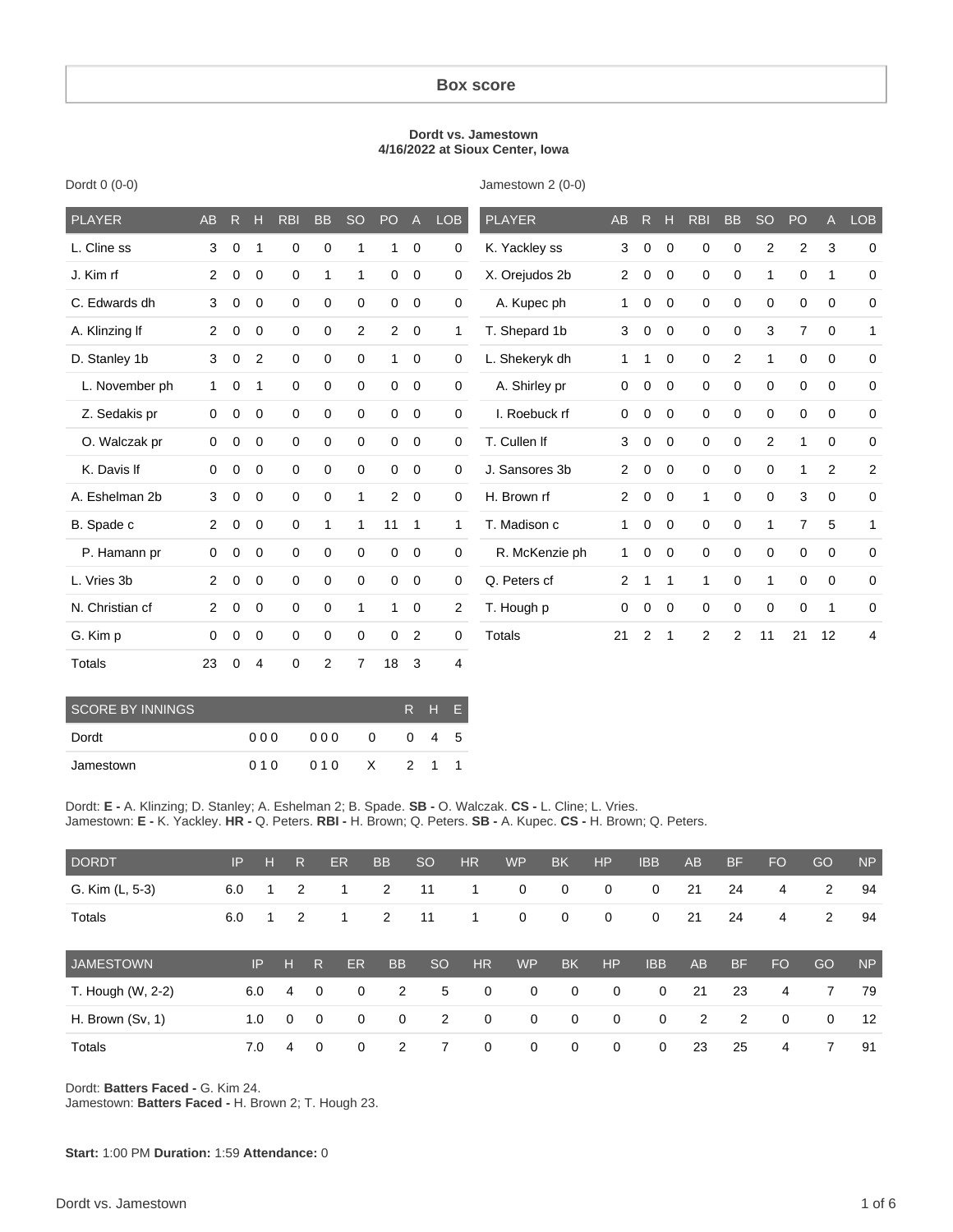#### **Box score**

#### **Dordt vs. Jamestown 4/16/2022 at Sioux Center, Iowa**

| PLAYER          | AB          | R           | н              | <b>RBI</b>  | <b>BB</b>      | <b>SO</b>      | PO             | $\mathsf{A}$   | <b>LOB</b>          | <b>PLAYER</b>  | AB             | R.             | н              | <b>RBI</b>     | <b>BB</b>      | <b>SO</b>      | PO             | A              | <b>LOB</b>     |
|-----------------|-------------|-------------|----------------|-------------|----------------|----------------|----------------|----------------|---------------------|----------------|----------------|----------------|----------------|----------------|----------------|----------------|----------------|----------------|----------------|
| L. Cline ss     | 3           | $\mathbf 0$ | -1             | 0           | 0              | 1              | 1              | $\mathbf 0$    | 0                   | K. Yackley ss  | 3              | $\mathbf 0$    | $\Omega$       | 0              | $\mathbf 0$    | 2              | $\overline{c}$ | 3              | $\Omega$       |
| J. Kim rf       | 2           | 0           | $\mathbf{0}$   | $\mathbf 0$ | $\mathbf{1}$   | 1              | 0              | $\mathbf 0$    | 0                   | X. Orejudos 2b | $\overline{2}$ | 0              | $\mathbf{0}$   | 0              | $\mathbf 0$    | 1              | $\mathbf 0$    | 1              | $\mathbf 0$    |
| C. Edwards dh   | 3           | $\mathbf 0$ | $\mathbf{0}$   | $\mathbf 0$ | 0              | $\mathbf 0$    | $\mathbf 0$    | $\mathbf 0$    | $\mathbf 0$         | A. Kupec ph    | 1              | $\mathbf 0$    | $\Omega$       | 0              | $\mathbf 0$    | 0              | 0              | 0              | $\mathbf 0$    |
| A. Klinzing If  | 2           | 0           | $\mathbf{0}$   | $\mathbf 0$ | 0              | 2              | $\overline{2}$ | $\overline{0}$ | 1                   | T. Shepard 1b  | 3              | 0              | $\mathbf{0}$   | 0              | $\mathbf 0$    | 3              | $\overline{7}$ | $\mathbf 0$    | 1              |
| D. Stanley 1b   | 3           | $\mathbf 0$ | $\overline{2}$ | $\mathbf 0$ | 0              | $\mathbf 0$    | 1              | $\overline{0}$ | $\mathbf 0$         | L. Shekeryk dh | 1              | 1              | $\Omega$       | 0              | 2              | 1              | 0              | $\Omega$       | $\mathbf 0$    |
| L. November ph  | 1           | 0           | -1             | $\mathbf 0$ | 0              | $\mathbf 0$    | $\mathbf 0$    | $\mathbf 0$    | 0                   | A. Shirley pr  | 0              | 0              | $\mathbf{0}$   | 0              | $\mathbf 0$    | $\mathbf 0$    | 0              | 0              | $\mathbf 0$    |
| Z. Sedakis pr   | $\mathbf 0$ | $\mathbf 0$ | $\mathbf 0$    | $\mathbf 0$ | 0              | $\mathbf 0$    | $\mathbf 0$    | $\mathbf 0$    | $\mathsf{O}\xspace$ | I. Roebuck rf  | $\mathbf 0$    | $\mathbf 0$    | $\mathbf{0}$   | 0              | $\mathbf 0$    | $\mathbf 0$    | 0              | $\mathbf 0$    | $\mathbf 0$    |
| O. Walczak pr   | 0           | 0           | $\mathbf 0$    | $\mathbf 0$ | 0              | $\mathbf 0$    | 0              | $\mathbf 0$    | $\mathbf 0$         | T. Cullen If   | 3              | 0              | $\Omega$       | 0              | $\mathbf 0$    | $\overline{2}$ | $\mathbf{1}$   | $\Omega$       | $\mathbf 0$    |
| K. Davis If     | 0           | 0           | $\mathbf 0$    | 0           | 0              | $\mathbf 0$    | 0              | $\mathbf 0$    | $\mathbf 0$         | J. Sansores 3b | 2              | 0              | $\mathbf 0$    | 0              | $\mathbf 0$    | $\mathbf 0$    | 1              | $\overline{2}$ | $\overline{a}$ |
| A. Eshelman 2b  | 3           | 0           | $\mathbf 0$    | $\mathbf 0$ | 0              | 1              | $\overline{2}$ | $\mathbf 0$    | $\mathbf 0$         | H. Brown rf    | 2              | 0              | $\mathbf 0$    | 1              | $\mathbf 0$    | 0              | 3              | 0              | $\mathbf 0$    |
| B. Spade c      | 2           | 0           | $\mathbf 0$    | $\mathbf 0$ | $\mathbf{1}$   | $\mathbf{1}$   | 11             | $\mathbf{1}$   | $\mathbf{1}$        | T. Madison c   | 1              | 0              | $\mathbf 0$    | 0              | 0              | 1              | $\overline{7}$ | 5              | 1              |
| P. Hamann pr    | 0           | 0           | $\mathbf{0}$   | 0           | $\mathbf 0$    | $\mathbf 0$    | $\mathbf 0$    | $\mathbf 0$    | $\mathbf 0$         | R. McKenzie ph | 1              | 0              | $\overline{0}$ | 0              | $\mathbf 0$    | 0              | 0              | 0              | $\mathbf 0$    |
| L. Vries 3b     | 2           | $\mathbf 0$ | $\mathbf{0}$   | $\mathbf 0$ | 0              | $\mathbf 0$    | $\mathbf 0$    | $\mathbf 0$    | 0                   | Q. Peters cf   | $\overline{2}$ | 1              | $\mathbf{1}$   | 1              | $\mathbf 0$    | 1              | 0              | 0              | 0              |
| N. Christian cf | 2           | $\mathbf 0$ | $\mathbf{0}$   | $\mathbf 0$ | 0              | $\mathbf 1$    | 1              | $\mathbf 0$    | $\overline{2}$      | T. Hough p     | $\Omega$       | $\Omega$       | $\Omega$       | 0              | $\mathbf 0$    | $\Omega$       | 0              | 1              | $\mathbf 0$    |
| G. Kim p        | $\Omega$    | $\Omega$    | 0              | $\mathbf 0$ | 0              | $\mathbf 0$    | $\Omega$       | 2              | $\mathbf 0$         | <b>Totals</b>  | 21             | $\overline{2}$ | $\mathbf 1$    | $\overline{2}$ | $\overline{2}$ | 11             | 21             | 12             | 4              |
| <b>Totals</b>   | 23          | 0           | 4              | $\mathbf 0$ | $\overline{2}$ | $\overline{7}$ | 18             | 3              | $\overline{4}$      |                |                |                |                |                |                |                |                |                |                |

Dordt 0 (0-0)

Jamestown 2 (0-0)

| <b>SCORE BY INNINGS</b> |       | R H E |              |       |             |  |
|-------------------------|-------|-------|--------------|-------|-------------|--|
| Dordt                   | 000   | 000   | <sup>0</sup> |       | $0 \t4 \t5$ |  |
| Jamestown               | 0 1 0 | 010 X |              | 2 1 1 |             |  |

Dordt: **E -** A. Klinzing; D. Stanley; A. Eshelman 2; B. Spade. **SB -** O. Walczak. **CS -** L. Cline; L. Vries. Jamestown: **E -** K. Yackley. **HR -** Q. Peters. **RBI -** H. Brown; Q. Peters. **SB -** A. Kupec. **CS -** H. Brown; Q. Peters.

| <b>DORDT</b>       | IP  | н            | R              |                         | <b>ER</b> | <b>BB</b>   | <b>SO</b>     | <b>HR</b>   | <b>WP</b>   | <b>BK</b>    | HP          | <b>IBB</b>   | <b>AB</b> | <b>BF</b> | <b>FO</b> | GO             | <b>NP</b> |
|--------------------|-----|--------------|----------------|-------------------------|-----------|-------------|---------------|-------------|-------------|--------------|-------------|--------------|-----------|-----------|-----------|----------------|-----------|
| G. Kim (L, 5-3)    | 6.0 | $\mathbf{1}$ | $\overline{2}$ |                         | 1         | 2           | 11            | 1           | $\mathbf 0$ | $\mathbf 0$  | $\mathbf 0$ | 0            | 21        | 24        | 4         | $\overline{2}$ | 94        |
| Totals             | 6.0 | $\mathbf 1$  | $\overline{2}$ |                         | 1         | 2           | 11            | 1           | $\mathbf 0$ | $\mathbf 0$  | 0           | 0            | 21        | 24        | 4         | $\overline{2}$ | 94        |
| <b>JAMESTOWN</b>   |     | IP           | н              | $\overline{\mathsf{R}}$ | <b>ER</b> | <b>BB</b>   | <sub>SO</sub> | <b>HR</b>   | <b>WP</b>   | <b>BK</b>    | HP          | <b>IBB</b>   | <b>AB</b> | <b>BF</b> | <b>FO</b> | GO             | <b>NP</b> |
| T. Hough (W, 2-2)  |     | 6.0          | 4              | $\Omega$                | 0         | 2           | 5             | $\mathbf 0$ | $\mathbf 0$ | $\mathbf{0}$ | $\mathbf 0$ | $\mathbf{0}$ | 21        | 23        | 4         | 7              | 79        |
| H. Brown $(Sv, 1)$ |     | 1.0          | 0              | $\Omega$                | 0         | $\mathbf 0$ | 2             | $\mathbf 0$ | $\mathbf 0$ | $\mathbf{0}$ | $\mathbf 0$ | $\mathbf{0}$ | 2         | 2         | $\Omega$  | 0              | 12        |
| Totals             |     | 7.0          | 4              | $\Omega$                | 0         |             |               | $\mathbf 0$ | 0           | 0            | 0           | 0            | 23        | 25        | 4         | 7              | 91        |

Dordt: **Batters Faced -** G. Kim 24.

Jamestown: **Batters Faced -** H. Brown 2; T. Hough 23.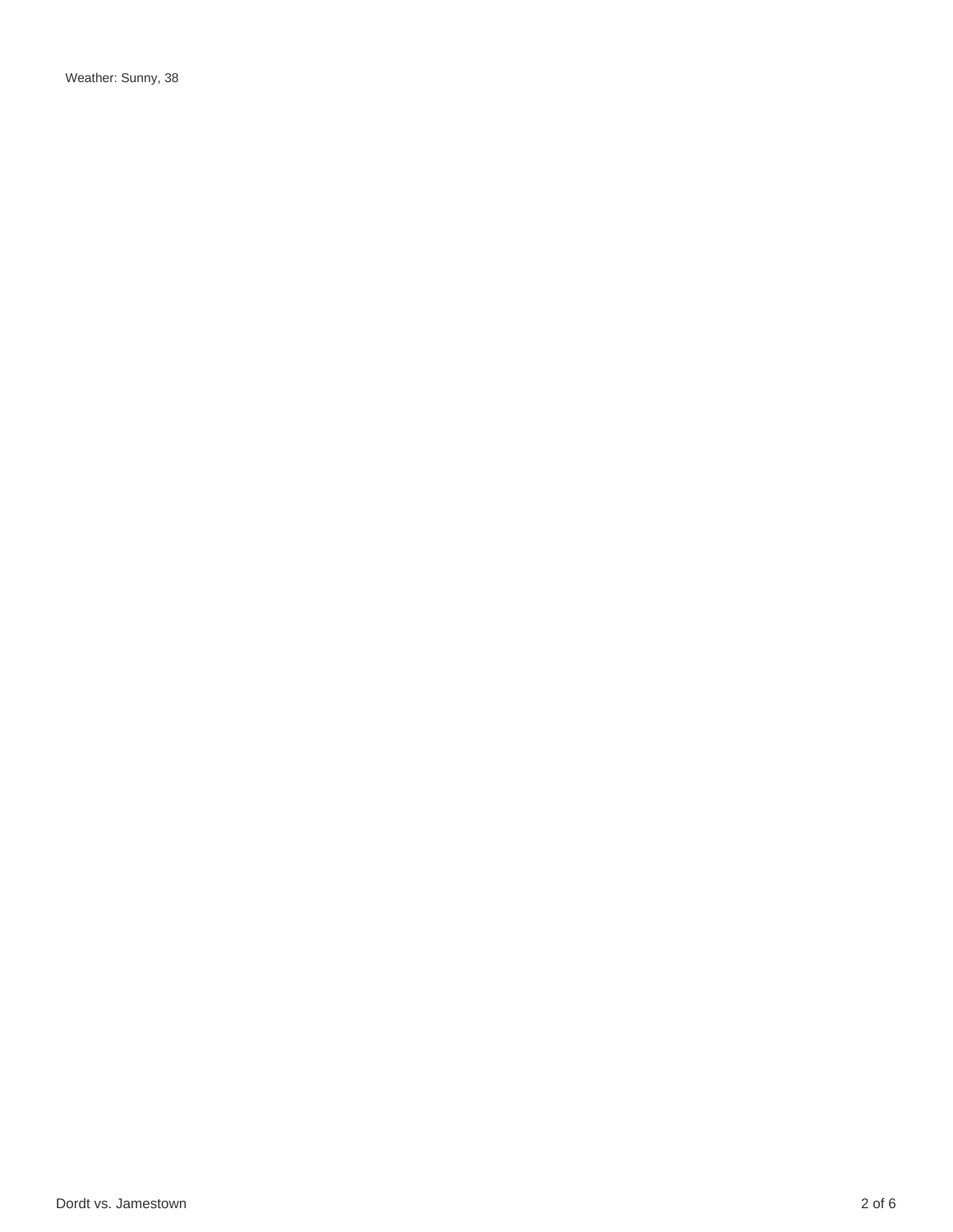Weather: Sunny, 38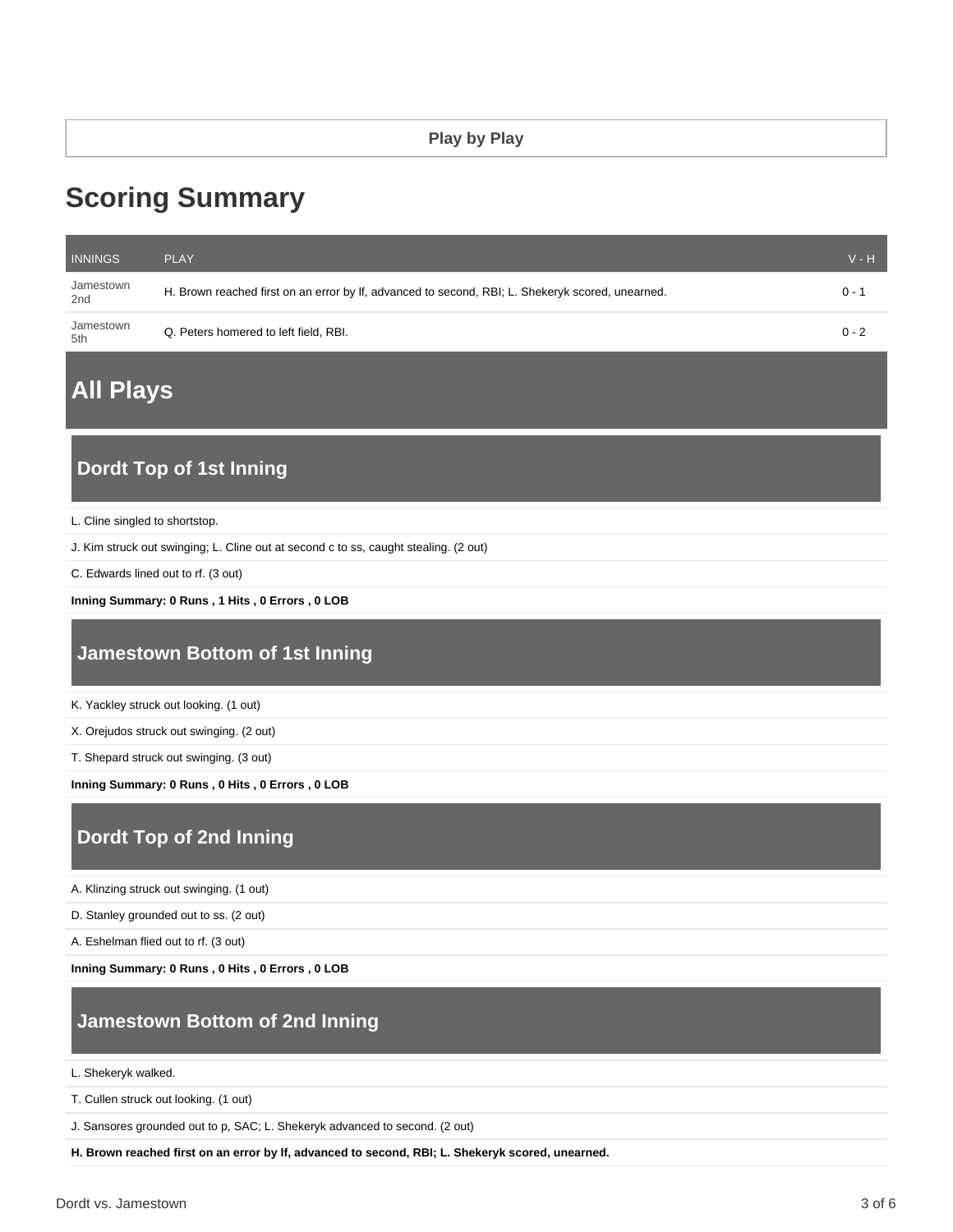# **Scoring Summary**

| <b>INNINGS</b>   | <b>PLAY</b>                                                                                      | $V - H$ |
|------------------|--------------------------------------------------------------------------------------------------|---------|
| Jamestown<br>2nd | H. Brown reached first on an error by If, advanced to second, RBI; L. Shekeryk scored, unearned. | $0 - 1$ |
| Jamestown<br>5th | Q. Peters homered to left field, RBI.                                                            | $0 - 2$ |

# **All Plays**

## **Dordt Top of 1st Inning**

L. Cline singled to shortstop.

J. Kim struck out swinging; L. Cline out at second c to ss, caught stealing. (2 out)

C. Edwards lined out to rf. (3 out)

**Inning Summary: 0 Runs , 1 Hits , 0 Errors , 0 LOB**

#### **Jamestown Bottom of 1st Inning**

K. Yackley struck out looking. (1 out)

X. Orejudos struck out swinging. (2 out)

T. Shepard struck out swinging. (3 out)

**Inning Summary: 0 Runs , 0 Hits , 0 Errors , 0 LOB**

## **Dordt Top of 2nd Inning**

A. Klinzing struck out swinging. (1 out)

D. Stanley grounded out to ss. (2 out)

A. Eshelman flied out to rf. (3 out)

**Inning Summary: 0 Runs , 0 Hits , 0 Errors , 0 LOB**

## **Jamestown Bottom of 2nd Inning**

L. Shekeryk walked.

T. Cullen struck out looking. (1 out)

J. Sansores grounded out to p, SAC; L. Shekeryk advanced to second. (2 out)

**H. Brown reached first on an error by lf, advanced to second, RBI; L. Shekeryk scored, unearned.**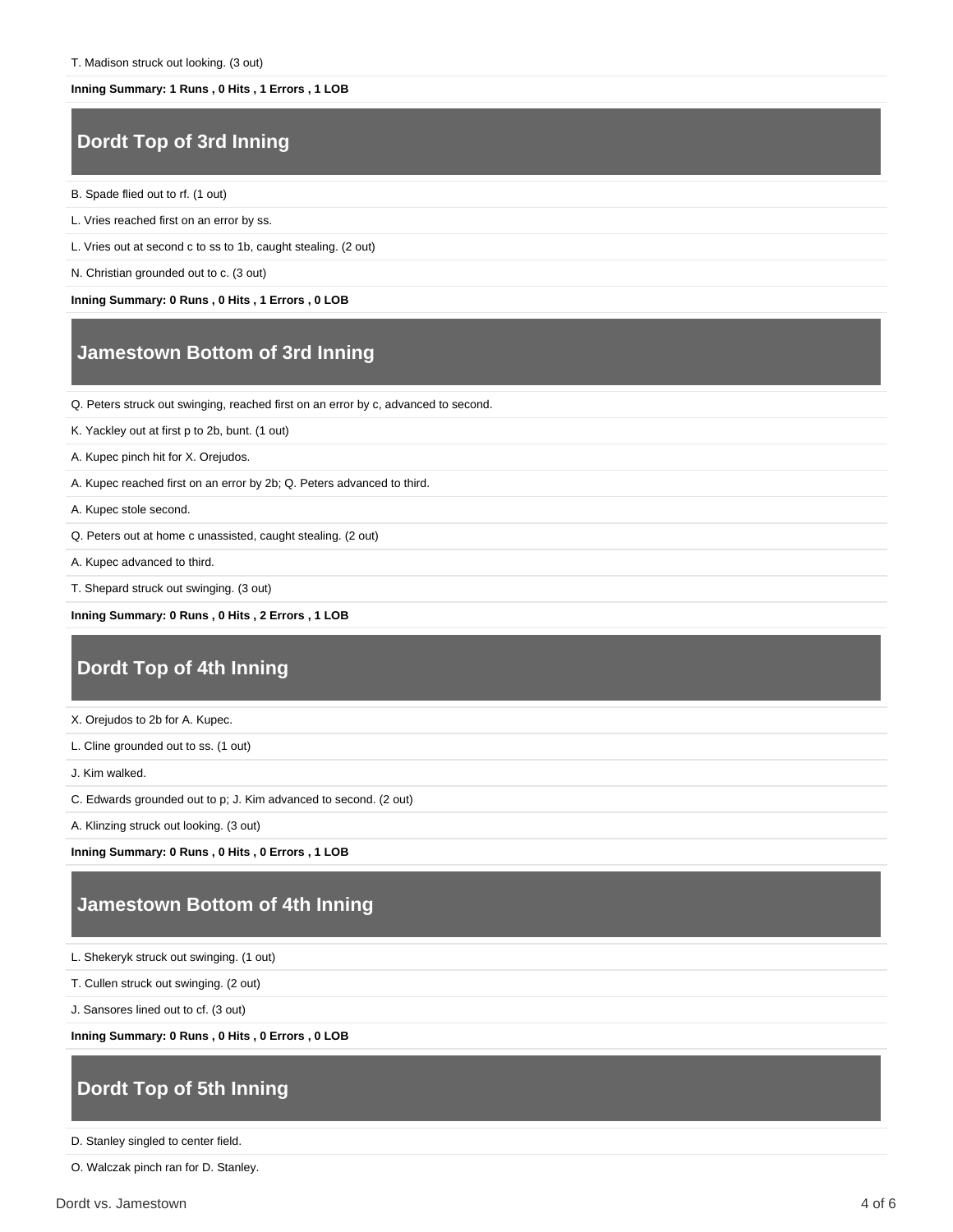#### **Inning Summary: 1 Runs , 0 Hits , 1 Errors , 1 LOB**

#### **Dordt Top of 3rd Inning**

- B. Spade flied out to rf. (1 out)
- L. Vries reached first on an error by ss.
- L. Vries out at second c to ss to 1b, caught stealing. (2 out)
- N. Christian grounded out to c. (3 out)

**Inning Summary: 0 Runs , 0 Hits , 1 Errors , 0 LOB**

#### **Jamestown Bottom of 3rd Inning**

Q. Peters struck out swinging, reached first on an error by c, advanced to second.

- K. Yackley out at first p to 2b, bunt. (1 out)
- A. Kupec pinch hit for X. Orejudos.
- A. Kupec reached first on an error by 2b; Q. Peters advanced to third.
- A. Kupec stole second.
- Q. Peters out at home c unassisted, caught stealing. (2 out)
- A. Kupec advanced to third.
- T. Shepard struck out swinging. (3 out)

**Inning Summary: 0 Runs , 0 Hits , 2 Errors , 1 LOB**

#### **Dordt Top of 4th Inning**

- X. Orejudos to 2b for A. Kupec.
- L. Cline grounded out to ss. (1 out)
- J. Kim walked.
- C. Edwards grounded out to p; J. Kim advanced to second. (2 out)
- A. Klinzing struck out looking. (3 out)

**Inning Summary: 0 Runs , 0 Hits , 0 Errors , 1 LOB**

#### **Jamestown Bottom of 4th Inning**

- L. Shekeryk struck out swinging. (1 out)
- T. Cullen struck out swinging. (2 out)
- J. Sansores lined out to cf. (3 out)

**Inning Summary: 0 Runs , 0 Hits , 0 Errors , 0 LOB**

## **Dordt Top of 5th Inning**

D. Stanley singled to center field.

O. Walczak pinch ran for D. Stanley.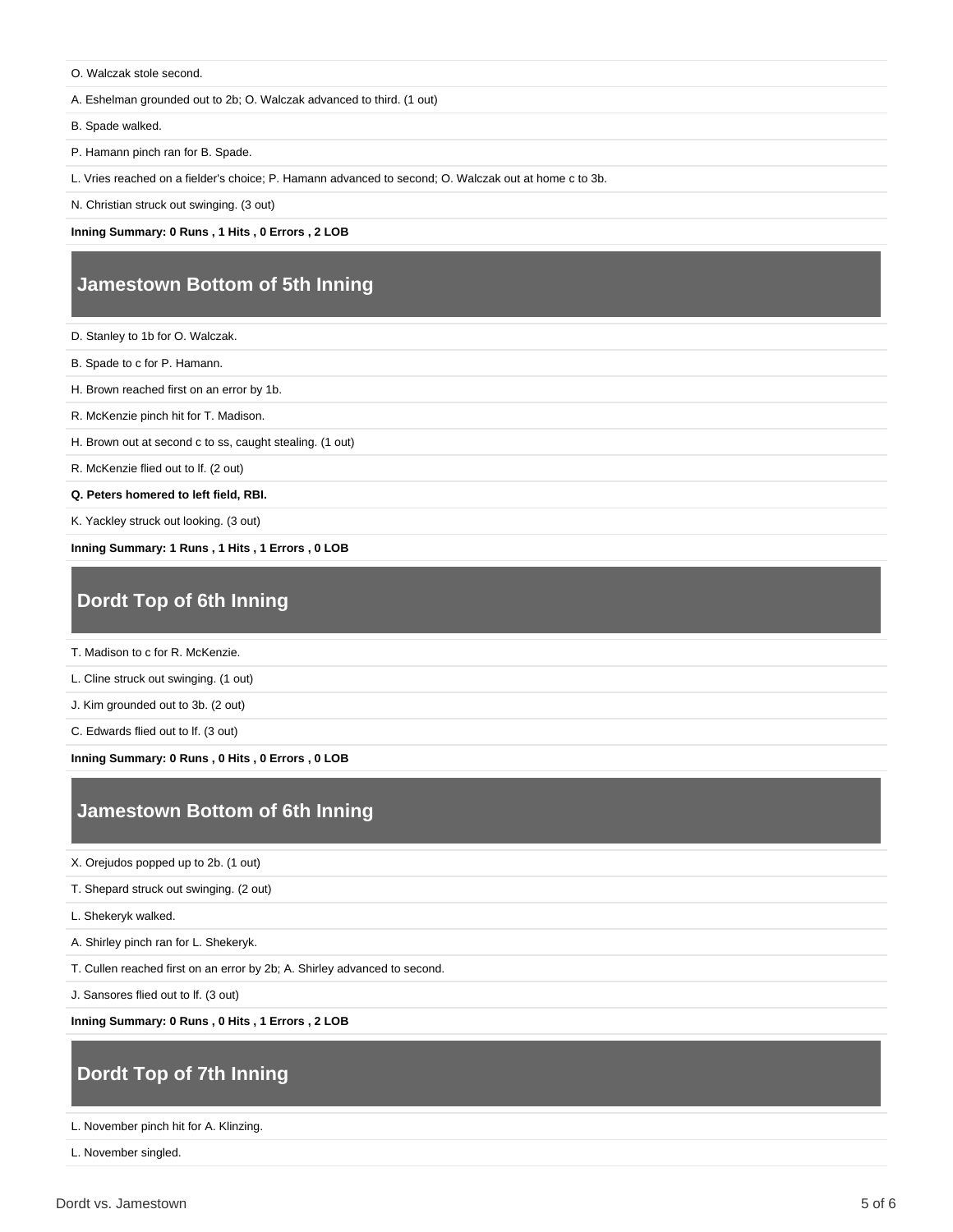O. Walczak stole second.

A. Eshelman grounded out to 2b; O. Walczak advanced to third. (1 out)

B. Spade walked.

P. Hamann pinch ran for B. Spade.

L. Vries reached on a fielder's choice; P. Hamann advanced to second; O. Walczak out at home c to 3b.

N. Christian struck out swinging. (3 out)

**Inning Summary: 0 Runs , 1 Hits , 0 Errors , 2 LOB**

#### **Jamestown Bottom of 5th Inning**

D. Stanley to 1b for O. Walczak.

B. Spade to c for P. Hamann.

H. Brown reached first on an error by 1b.

R. McKenzie pinch hit for T. Madison.

H. Brown out at second c to ss, caught stealing. (1 out)

R. McKenzie flied out to lf. (2 out)

**Q. Peters homered to left field, RBI.**

K. Yackley struck out looking. (3 out)

**Inning Summary: 1 Runs , 1 Hits , 1 Errors , 0 LOB**

# **Dordt Top of 6th Inning**

T. Madison to c for R. McKenzie.

L. Cline struck out swinging. (1 out)

J. Kim grounded out to 3b. (2 out)

C. Edwards flied out to lf. (3 out)

**Inning Summary: 0 Runs , 0 Hits , 0 Errors , 0 LOB**

## **Jamestown Bottom of 6th Inning**

X. Orejudos popped up to 2b. (1 out)

T. Shepard struck out swinging. (2 out)

L. Shekeryk walked.

A. Shirley pinch ran for L. Shekeryk.

T. Cullen reached first on an error by 2b; A. Shirley advanced to second.

J. Sansores flied out to lf. (3 out)

**Inning Summary: 0 Runs , 0 Hits , 1 Errors , 2 LOB**

# **Dordt Top of 7th Inning**

L. November pinch hit for A. Klinzing.

L. November singled.